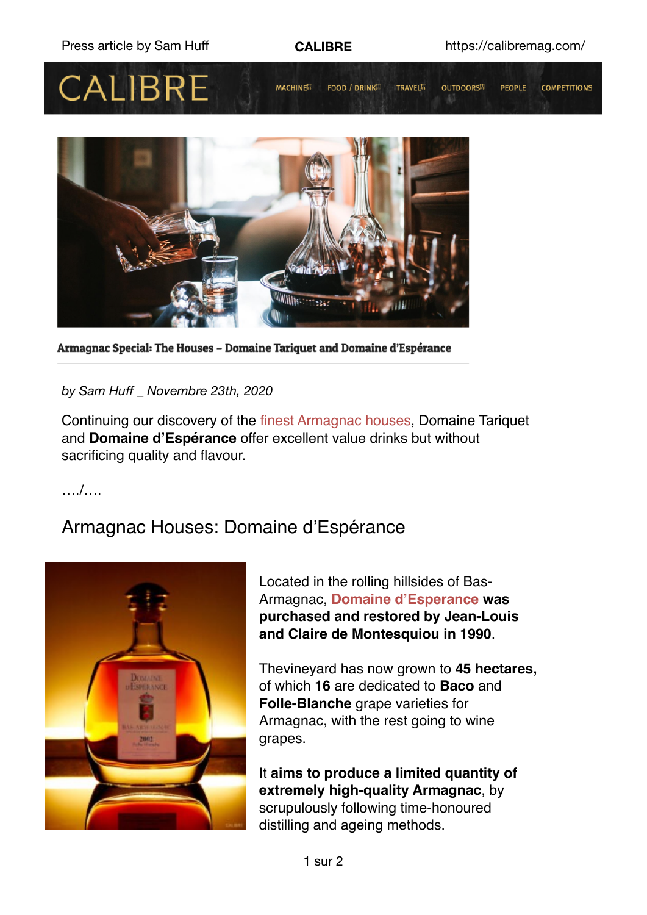



Armagnac Special: The Houses - Domaine Tariquet and Domaine d'Espérance

*by Sam Huff \_ Novembre 23th, 2020* 

Continuing our discovery of the finest Armagnac houses, Domaine Tariquet and **Domaine d'Espérance** offer excellent value drinks but without sacrificing quality and flavour.

…./….

# Armagnac Houses: Domaine d'Espérance



Located in the rolling hillsides of Bas-Armagnac, **Domaine d'Esperance was purchased and restored by Jean-Louis and Claire de Montesquiou in 1990**.

Thevineyard has now grown to **45 hectares,** of which **16** are dedicated to **Baco** and **Folle-Blanche** grape varieties for Armagnac, with the rest going to wine grapes.

It **aims to produce a limited quantity of extremely high-quality Armagnac**, by scrupulously following time-honoured distilling and ageing methods.